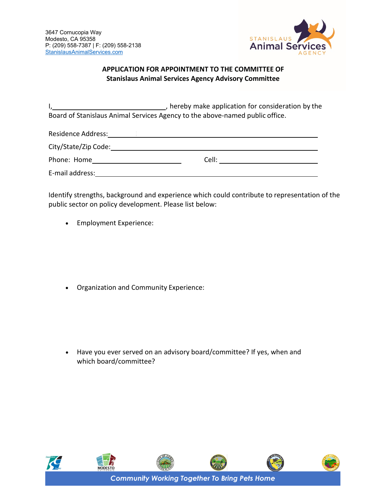

## **APPLICATION FOR APPOINTMENT TO THE COMMITTEE OF Stanislaus Animal Services Agency Advisory Committee**

I, , hereby make application for consideration by the Board of Stanislaus Animal Services Agency to the above-named public office.

Residence Address: 2008 120 2008 2009 2009 2010 2020 2021 2022 2023 2024 2022 2023 2024 2022 2023 2024 2022 20

| City/State/Zip Code: |       |  |
|----------------------|-------|--|
| Phone: Home          | Cell: |  |

E-mail address:

Identify strengths, background and experience which could contribute to representation of the public sector on policy development. Please list below:

• Employment Experience:

• Organization and Community Experience:

• Have you ever served on an advisory board/committee? If yes, when and which board/committee?